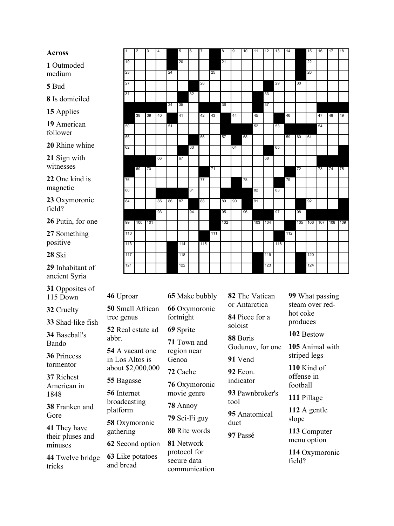## **Across**

Outmoded medium

Bud

Is domiciled

Applies

American follower

Rhine whine

Sign with witnesses

One kind is magnetic

Oxymoronic field?

Putin, for one

Something positive

Ski

Inhabitant of ancient Syria

Opposites of 115 Down

Cruelty

Shad-like fish

Baseball's Bando

Princess tormentor

Richest American in 

Franken and Gore

They have their pluses and minuses

Twelve bridge tricks

| $\mathbf{1}$ | $\overline{2}$ | 3  | 4  |    | 5   | 6  | 7   |     | 8   | o, | 10 | 11  | 12  | 13  | 14  |     | 15      | 16 | 17  | 18  |
|--------------|----------------|----|----|----|-----|----|-----|-----|-----|----|----|-----|-----|-----|-----|-----|---------|----|-----|-----|
| 19           |                |    |    |    | 20  |    |     |     | 21  |    |    |     |     |     |     |     | 22      |    |     |     |
| 23           |                |    |    | 24 |     |    |     | 25  |     |    |    |     |     |     |     |     | 26      |    |     |     |
| 27           |                |    |    |    |     |    | 28  |     |     |    |    |     |     | 29  |     | 30  |         |    |     |     |
| 31           |                |    |    |    |     | 32 |     |     |     |    |    |     | 33  |     |     |     |         |    |     |     |
|              |                |    |    | 34 | 35  |    |     |     | 36  |    |    |     | 37  |     |     |     |         |    |     |     |
|              | 38             | 39 | 40 |    | 41  |    | 42  | 43  |     | 44 |    | 45  |     |     | 46  |     |         | 47 | 48  | 49  |
| 50           |                |    |    | 51 |     |    |     |     |     |    |    | 52  |     | 53  |     |     |         | 54 |     |     |
| 55           |                |    |    |    |     |    | 56  |     | 57  |    | 58 |     |     |     | 59  | 60  | 61      |    |     |     |
| 62           |                |    |    |    |     | 63 |     |     |     | 64 |    |     |     | 65  |     |     |         |    |     |     |
|              |                |    | 66 |    | 67  |    |     |     |     |    |    |     | 68  |     |     |     |         |    |     |     |
|              | 69             | 70 |    |    |     |    |     | 71  |     |    |    |     |     |     |     | 72  |         | 73 | 74  | 75  |
| 76           |                |    |    |    |     |    | 77  |     |     |    | 78 |     |     |     | 79  |     |         |    |     |     |
| 80           |                |    |    |    |     | 81 |     |     |     |    |    | 82  |     | 83  |     |     |         |    |     |     |
|              |                |    |    |    |     |    |     |     |     |    |    |     |     |     |     |     |         |    |     |     |
| 84           |                |    | 85 | 86 | 87  |    | 88  |     | 89  | 90 |    | 91  |     |     |     |     | 92      |    |     |     |
|              |                |    | 93 |    |     | 94 |     |     | 95  |    | 96 |     |     | 97  |     | 98  |         |    |     |     |
| 99           | 100 101        |    |    |    |     |    |     |     | 102 |    |    | 103 | 104 |     |     | 105 | 106 107 |    | 108 | 109 |
| 110          |                |    |    |    |     |    |     | 111 |     |    |    |     |     |     | 112 |     |         |    |     |     |
| 113          |                |    |    |    | 114 |    | 115 |     |     |    |    |     |     | 116 |     |     |         |    |     |     |
| 117          |                |    |    |    | 118 |    |     |     |     |    |    |     | 119 |     |     |     | 120     |    |     |     |
| 121          |                |    |    |    | 122 |    |     |     |     |    |    |     | 123 |     |     |     | 124     |    |     |     |

Uproar Small African tree genus Real estate ad abbr. A vacant one in Los Altos is about \$2,000,000 Bagasse Internet broadcasting platform Oxymoronic gathering Second option Like potatoes and bread

Make bubbly Oxymoronic fortnight Sprite Town and region near Genoa Cache Oxymoronic movie genre Annoy Sci-Fi guy Rite words Network protocol for secure data communication

The Vatican or Antarctica Piece for a soloist Boris Godunov, for one Vend Econ. indicator Pawnbroker's tool Anatomical duct Passé

What passing steam over red hot coke produces Bestow

Animal with striped legs

Kind of offense in football

Pillage

A gentle slope

Computer menu option

Oxymoronic field?